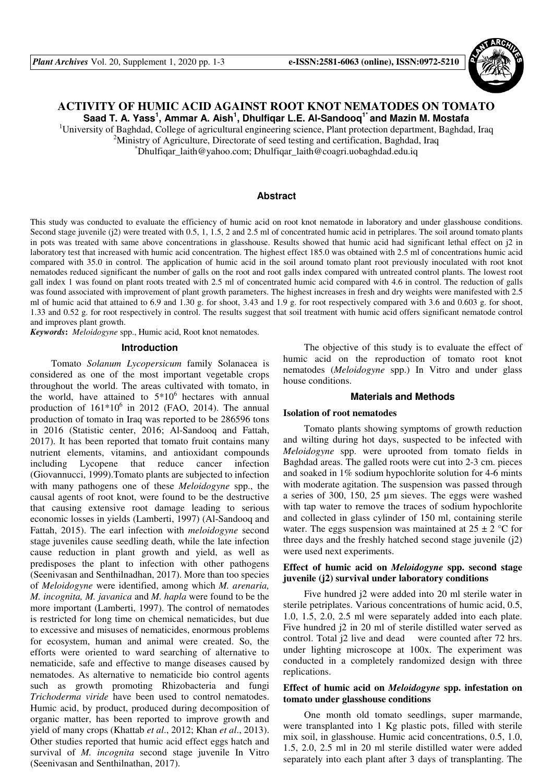

# **ACTIVITY OF HUMIC ACID AGAINST ROOT KNOT NEMATODES ON TOMATO Saad T. A. Yass<sup>1</sup> , Ammar A. Aish<sup>1</sup> , Dhulfiqar L.E. Al-Sandooq1\* and Mazin M. Mostafa**

<sup>1</sup>University of Baghdad, College of agricultural engineering science, Plant protection department, Baghdad, Iraq

<sup>2</sup>Ministry of Agriculture, Directorate of seed testing and certification, Baghdad, Iraq

 $\Delta^*$ Dhulfiqar\_laith@yahoo.com; Dhulfiqar\_laith@coagri.uobaghdad.edu.iq

#### **Abstract**

This study was conducted to evaluate the efficiency of humic acid on root knot nematode in laboratory and under glasshouse conditions. Second stage juvenile (i2) were treated with 0.5, 1, 1.5, 2 and 2.5 ml of concentrated humic acid in petriplares. The soil around tomato plants in pots was treated with same above concentrations in glasshouse. Results showed that humic acid had significant lethal effect on j2 in laboratory test that increased with humic acid concentration. The highest effect 185.0 was obtained with 2.5 ml of concentrations humic acid compared with 35.0 in control. The application of humic acid in the soil around tomato plant root previously inoculated with root knot nematodes reduced significant the number of galls on the root and root galls index compared with untreated control plants. The lowest root gall index 1 was found on plant roots treated with 2.5 ml of concentrated humic acid compared with 4.6 in control. The reduction of galls was found associated with improvement of plant growth parameters. The highest increases in fresh and dry weights were manifested with 2.5 ml of humic acid that attained to 6.9 and 1.30 g. for shoot, 3.43 and 1.9 g. for root respectively compared with 3.6 and 0.603 g. for shoot, 1.33 and 0.52 g. for root respectively in control. The results suggest that soil treatment with humic acid offers significant nematode control and improves plant growth.

*Keywords***:** *Meloidogyne* spp., Humic acid, Root knot nematodes.

#### **Introduction**

Tomato *Solanum Lycopersicum* family Solanacea is considered as one of the most important vegetable crops throughout the world. The areas cultivated with tomato, in the world, have attained to  $5*10^6$  hectares with annual production of  $161*10^6$  in 2012 (FAO, 2014). The annual production of tomato in Iraq was reported to be 286596 tons in 2016 (Statistic center, 2016; Al-Sandooq and Fattah, 2017). It has been reported that tomato fruit contains many nutrient elements, vitamins, and antioxidant compounds including Lycopene that reduce cancer infection (Giovannucci, 1999).Tomato plants are subjected to infection with many pathogens one of these *Meloidogyne* spp., the causal agents of root knot, were found to be the destructive that causing extensive root damage leading to serious economic losses in yields (Lamberti, 1997) (Al-Sandooq and Fattah, 2015). The earl infection with *meloidogyne* second stage juveniles cause seedling death, while the late infection cause reduction in plant growth and yield, as well as predisposes the plant to infection with other pathogens (Seenivasan and Senthilnadhan, 2017). More than too species of *Meloidogyne* were identified, among which *M. arenaria, M. incognita, M. javanica* and *M. hapla* were found to be the more important (Lamberti, 1997). The control of nematodes is restricted for long time on chemical nematicides, but due to excessive and misuses of nematicides, enormous problems for ecosystem, human and animal were created. So, the efforts were oriented to ward searching of alternative to nematicide, safe and effective to mange diseases caused by nematodes. As alternative to nematicide bio control agents such as growth promoting Rhizobacteria and fungi *Trichoderma viride* have been used to control nematodes. Humic acid, by product, produced during decomposition of organic matter, has been reported to improve growth and yield of many crops (Khattab *et al*., 2012; Khan *et al*., 2013). Other studies reported that humic acid effect eggs hatch and survival of *M. incognita* second stage juvenile In Vitro (Seenivasan and Senthilnathan, 2017).

The objective of this study is to evaluate the effect of humic acid on the reproduction of tomato root knot nematodes (*Meloidogyne* spp.) In Vitro and under glass house conditions.

### **Materials and Methods**

#### **Isolation of root nematodes**

Tomato plants showing symptoms of growth reduction and wilting during hot days, suspected to be infected with *Meloidogyne* spp. were uprooted from tomato fields in Baghdad areas. The galled roots were cut into 2-3 cm. pieces and soaked in 1% sodium hypochlorite solution for 4-6 mints with moderate agitation. The suspension was passed through a series of 300, 150, 25 µm sieves. The eggs were washed with tap water to remove the traces of sodium hypochlorite and collected in glass cylinder of 150 ml, containing sterile water. The eggs suspension was maintained at  $25 \pm 2$  °C for three days and the freshly hatched second stage juvenile (j2) were used next experiments.

# **Effect of humic acid on** *Meloidogyne* **spp. second stage juvenile (j2) survival under laboratory conditions**

Five hundred j2 were added into 20 ml sterile water in sterile petriplates. Various concentrations of humic acid, 0.5, 1.0, 1.5, 2.0, 2.5 ml were separately added into each plate. Five hundred j2 in 20 ml of sterile distilled water served as control. Total j2 live and dead were counted after 72 hrs. under lighting microscope at 100x. The experiment was conducted in a completely randomized design with three replications.

# **Effect of humic acid on** *Meloidogyne* **spp. infestation on tomato under glasshouse conditions**

One month old tomato seedlings, super marmande, were transplanted into 1 Kg plastic pots, filled with sterile mix soil, in glasshouse. Humic acid concentrations, 0.5, 1.0, 1.5, 2.0, 2.5 ml in 20 ml sterile distilled water were added separately into each plant after 3 days of transplanting. The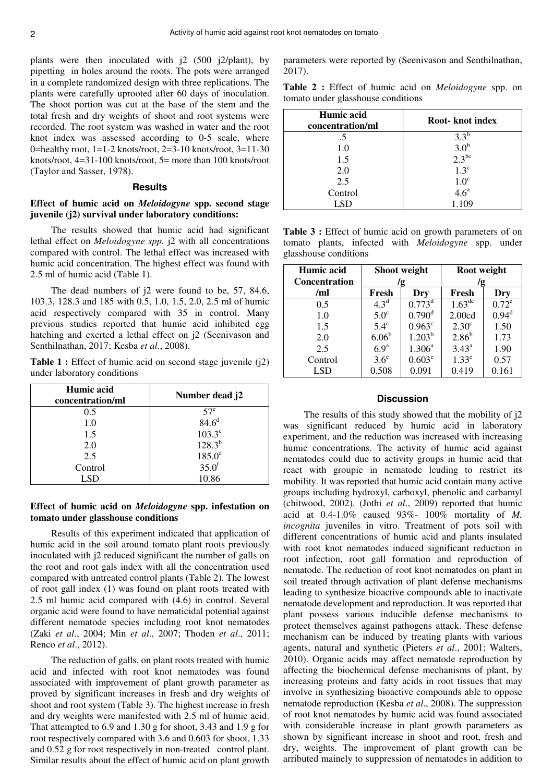plants were then inoculated with j2 (500 j2/plant), by pipetting in holes around the roots. The pots were arranged in a complete randomized design with three replications. The plants were carefully uprooted after 60 days of inoculation. The shoot portion was cut at the base of the stem and the total fresh and dry weights of shoot and root systems were recorded. The root system was washed in water and the root knot index was assessed according to 0-5 scale, where 0=healthy root, 1=1-2 knots/root, 2=3-10 knots/root, 3=11-30 knots/root, 4=31-100 knots/root, 5= more than 100 knots/root (Taylor and Sasser, 1978).

### **Results**

# **Effect of humic acid on** *Meloidogyne* **spp. second stage juvenile (j2) survival under laboratory conditions:**

The results showed that humic acid had significant lethal effect on *Meloidogyne spp.* j2 with all concentrations compared with control. The lethal effect was increased with humic acid concentration. The highest effect was found with 2.5 ml of humic acid (Table 1).

The dead numbers of j2 were found to be, 57, 84.6, 103.3, 128.3 and 185 with 0.5, 1.0, 1.5, 2.0, 2.5 ml of humic acid respectively compared with 35 in control. Many previous studies reported that humic acid inhibited egg hatching and exerted a lethal effect on j2 (Seenivason and Senthilnathan, 2017; Kesba *et al.*, 2008).

**Table 1 :** Effect of humic acid on second stage juvenile (i2) under laboratory conditions

| Humic acid<br>concentration/ml | Number dead j2    |  |  |
|--------------------------------|-------------------|--|--|
| 0.5                            | 57 <sup>e</sup>   |  |  |
| 1.0                            | 84.6 <sup>d</sup> |  |  |
| 1.5                            | $103.3^\circ$     |  |  |
| 2.0                            | $128.3^{b}$       |  |  |
| 2.5                            | $185.0^{\rm a}$   |  |  |
| Control                        | $35.0^{\rm f}$    |  |  |
| LSD                            | 10.86             |  |  |

# **Effect of humic acid on** *Meloidogyne* **spp. infestation on tomato under glasshouse conditions**

Results of this experiment indicated that application of humic acid in the soil around tomato plant roots previously inoculated with j2 reduced significant the number of galls on the root and root gals index with all the concentration used compared with untreated control plants (Table 2). The lowest of root gall index (1) was found on plant roots treated with 2.5 ml humic acid compared with (4.6) in control. Several organic acid were found to have nematicidal potential against different nematode species including root knot nematodes (Zaki *et al*., 2004; Min *et al*., 2007; Thoden *et al*., 2011; Renco *et al*., 2012).

The reduction of galls, on plant roots treated with humic acid and infected with root knot nematodes was found associated with improvement of plant growth parameter as proved by significant increases in fresh and dry weights of shoot and root system (Table 3). The highest increase in fresh and dry weights were manifested with 2.5 ml of humic acid. That attempted to 6.9 and 1.30 g for shoot, 3.43 and 1.9 g for root respectively compared with 3.6 and 0.603 for shoot, 1.33 and 0.52 g for root respectively in non-treated control plant. Similar results about the effect of humic acid on plant growth parameters were reported by (Seenivason and Senthilnathan, 2017).

**Table 2 :** Effect of humic acid on *Meloidogyne* spp. on tomato under glasshouse conditions

| Humic acid<br>concentration/ml | Root- knot index      |  |  |
|--------------------------------|-----------------------|--|--|
| .5                             | $3.3^{b}$             |  |  |
| 1.0                            | $3.0^b$<br>$2.3^{bc}$ |  |  |
| 1.5                            |                       |  |  |
| 2.0                            | $1.3^{\circ}$         |  |  |
| 2.5                            | 1.0 <sup>c</sup>      |  |  |
| Control                        | 4.6 <sup>a</sup>      |  |  |
| <b>LSD</b>                     | 1.109                 |  |  |

**Table 3 :** Effect of humic acid on growth parameters of on tomato plants, infected with *Meloidogyne* spp. under glasshouse conditions

| Humic acid<br><b>Concentration</b> | Shoot weight<br>/g |                      | Root weight<br>/g  |                   |
|------------------------------------|--------------------|----------------------|--------------------|-------------------|
| /ml                                | Fresh              | Dry                  | Fresh              | Dry               |
| 0.5                                | $4.3^{\rm d}$      | $0.773^d$            | $1.63^{\text{de}}$ | $0.72^e$          |
| 1.0                                | 5.0 <sup>c</sup>   | $0.790$ <sup>d</sup> | 2.00cd             | 0.94 <sup>d</sup> |
| 1.5                                | $5.4^\circ$        | $0.963^{\circ}$      | 2.30 <sup>c</sup>  | 1.50              |
| 2.0                                | 6.06 <sup>b</sup>  | $1.203^{b}$          | $2.86^{b}$         | 1.73              |
| 2.5                                | 6.9 <sup>a</sup>   | $1.306^{\rm a}$      | $3.43^{\rm a}$     | 1.90              |
| Control                            | $3.6^e$            | $0.603^e$            | 1.33 <sup>e</sup>  | 0.57              |
| LSD                                | 0.508              | 0.091                | 0.419              | 0.161             |

### **Discussion**

The results of this study showed that the mobility of j2 was significant reduced by humic acid in laboratory experiment, and the reduction was increased with increasing humic concentrations. The activity of humic acid against nematodes could due to activity groups in humic acid that react with groupie in nematode leuding to restrict its mobility. It was reported that humic acid contain many active groups including hydroxyl, carboxyl, phenolic and carbamyl (chitwood, 2002). (Jothi *et al*., 2009) reported that humic acid at 0.4-1.0% caused 93%- 100% mortality of *M. incognita* juveniles in vitro. Treatment of pots soil with different concentrations of humic acid and plants insulated with root knot nematodes induced significant reduction in root infection, root gall formation and reproduction of nematode. The reduction of root knot nematodes on plant in soil treated through activation of plant defense mechanisms leading to synthesize bioactive compounds able to inactivate nematode development and reproduction. It was reported that plant possess various inducible defense mechanisms to protect themselves against pathogens attack. These defense mechanism can be induced by treating plants with various agents, natural and synthetic (Pieters *et al*., 2001; Walters, 2010). Organic acids may affect nematode reproduction by affecting the biochemical defense mechanisms of plant, by increasing proteins and fatty acids in root tissues that may involve in synthesizing bioactive compounds able to oppose nematode reproduction (Kesba *et al*., 2008). The suppression of root knot nematodes by humic acid was found associated with considerable increase in plant growth parameters as shown by significant increase in shoot and root, fresh and dry, weights. The improvement of plant growth can be arributed mainely to suppression of nematodes in addition to